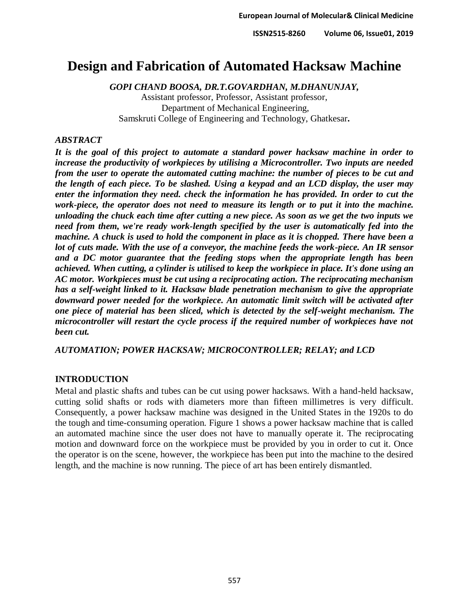# **Design and Fabrication of Automated Hacksaw Machine**

*GOPI CHAND BOOSA, DR.T.GOVARDHAN, M.DHANUNJAY,*

Assistant professor, Professor, Assistant professor, Department of Mechanical Engineering, Samskruti College of Engineering and Technology, Ghatkesar*.*

## *ABSTRACT*

*It is the goal of this project to automate a standard power hacksaw machine in order to increase the productivity of workpieces by utilising a Microcontroller. Two inputs are needed from the user to operate the automated cutting machine: the number of pieces to be cut and the length of each piece. To be slashed. Using a keypad and an LCD display, the user may enter the information they need. check the information he has provided. In order to cut the work-piece, the operator does not need to measure its length or to put it into the machine. unloading the chuck each time after cutting a new piece. As soon as we get the two inputs we need from them, we're ready work-length specified by the user is automatically fed into the machine. A chuck is used to hold the component in place as it is chopped. There have been a lot of cuts made. With the use of a conveyor, the machine feeds the work-piece. An IR sensor and a DC motor guarantee that the feeding stops when the appropriate length has been achieved. When cutting, a cylinder is utilised to keep the workpiece in place. It's done using an AC motor. Workpieces must be cut using a reciprocating action. The reciprocating mechanism has a self-weight linked to it. Hacksaw blade penetration mechanism to give the appropriate downward power needed for the workpiece. An automatic limit switch will be activated after one piece of material has been sliced, which is detected by the self-weight mechanism. The microcontroller will restart the cycle process if the required number of workpieces have not been cut.*

*AUTOMATION; POWER HACKSAW; MICROCONTROLLER; RELAY; and LCD*

## **INTRODUCTION**

Metal and plastic shafts and tubes can be cut using power hacksaws. With a hand-held hacksaw, cutting solid shafts or rods with diameters more than fifteen millimetres is very difficult. Consequently, a power hacksaw machine was designed in the United States in the 1920s to do the tough and time-consuming operation. Figure 1 shows a power hacksaw machine that is called an automated machine since the user does not have to manually operate it. The reciprocating motion and downward force on the workpiece must be provided by you in order to cut it. Once the operator is on the scene, however, the workpiece has been put into the machine to the desired length, and the machine is now running. The piece of art has been entirely dismantled.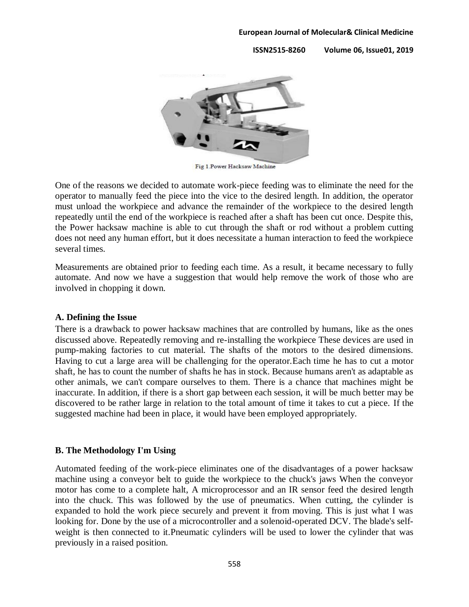**ISSN2515-8260 Volume 06, Issue01, 2019**



Fig 1. Power Hacksaw Machine

One of the reasons we decided to automate work-piece feeding was to eliminate the need for the operator to manually feed the piece into the vice to the desired length. In addition, the operator must unload the workpiece and advance the remainder of the workpiece to the desired length repeatedly until the end of the workpiece is reached after a shaft has been cut once. Despite this, the Power hacksaw machine is able to cut through the shaft or rod without a problem cutting does not need any human effort, but it does necessitate a human interaction to feed the workpiece several times.

Measurements are obtained prior to feeding each time. As a result, it became necessary to fully automate. And now we have a suggestion that would help remove the work of those who are involved in chopping it down.

### **A. Defining the Issue**

There is a drawback to power hacksaw machines that are controlled by humans, like as the ones discussed above. Repeatedly removing and re-installing the workpiece These devices are used in pump-making factories to cut material. The shafts of the motors to the desired dimensions. Having to cut a large area will be challenging for the operator.Each time he has to cut a motor shaft, he has to count the number of shafts he has in stock. Because humans aren't as adaptable as other animals, we can't compare ourselves to them. There is a chance that machines might be inaccurate. In addition, if there is a short gap between each session, it will be much better may be discovered to be rather large in relation to the total amount of time it takes to cut a piece. If the suggested machine had been in place, it would have been employed appropriately.

## **B. The Methodology I'm Using**

Automated feeding of the work-piece eliminates one of the disadvantages of a power hacksaw machine using a conveyor belt to guide the workpiece to the chuck's jaws When the conveyor motor has come to a complete halt, A microprocessor and an IR sensor feed the desired length into the chuck. This was followed by the use of pneumatics. When cutting, the cylinder is expanded to hold the work piece securely and prevent it from moving. This is just what I was looking for. Done by the use of a microcontroller and a solenoid-operated DCV. The blade's selfweight is then connected to it.Pneumatic cylinders will be used to lower the cylinder that was previously in a raised position.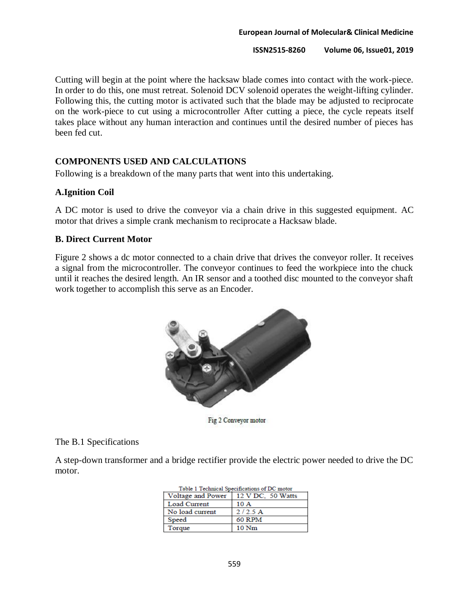Cutting will begin at the point where the hacksaw blade comes into contact with the work-piece. In order to do this, one must retreat. Solenoid DCV solenoid operates the weight-lifting cylinder. Following this, the cutting motor is activated such that the blade may be adjusted to reciprocate on the work-piece to cut using a microcontroller After cutting a piece, the cycle repeats itself takes place without any human interaction and continues until the desired number of pieces has been fed cut.

## **COMPONENTS USED AND CALCULATIONS**

Following is a breakdown of the many parts that went into this undertaking.

## **A.Ignition Coil**

A DC motor is used to drive the conveyor via a chain drive in this suggested equipment. AC motor that drives a simple crank mechanism to reciprocate a Hacksaw blade.

## **B. Direct Current Motor**

Figure 2 shows a dc motor connected to a chain drive that drives the conveyor roller. It receives a signal from the microcontroller. The conveyor continues to feed the workpiece into the chuck until it reaches the desired length. An IR sensor and a toothed disc mounted to the conveyor shaft work together to accomplish this serve as an Encoder.



Fig 2 Conveyor motor

## The B.1 Specifications

A step-down transformer and a bridge rectifier provide the electric power needed to drive the DC motor.

 $T_{\text{eff}}$  is a  $T_{\text{eff}}$  induced  $\theta_{\text{eff}}$  is the set of  $T_{\text{eff}}$  and  $\theta_{\text{eff}}$ 

| Table 1 Technical Specifications of DC motor |                   |  |
|----------------------------------------------|-------------------|--|
| Voltage and Power                            | 12 V DC, 50 Watts |  |
| Load Current                                 | 10A               |  |
| No load current                              | 2/2.5A            |  |
| Speed                                        | <b>60 RPM</b>     |  |
| Torque                                       | 10 <sub>Nm</sub>  |  |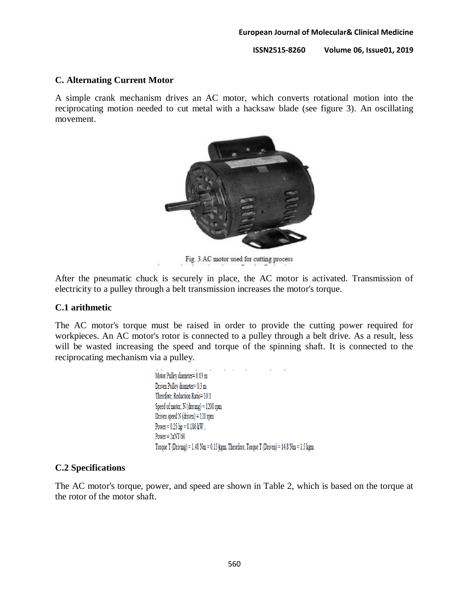#### **ISSN2515-8260 Volume 06, Issue01, 2019**

### **C. Alternating Current Motor**

A simple crank mechanism drives an AC motor, which converts rotational motion into the reciprocating motion needed to cut metal with a hacksaw blade (see figure 3). An oscillating movement.



Fig. 3 AC motor used for cutting process

After the pneumatic chuck is securely in place, the AC motor is activated. Transmission of electricity to a pulley through a belt transmission increases the motor's torque.

### **C.1 arithmetic**

The AC motor's torque must be raised in order to provide the cutting power required for workpieces. An AC motor's rotor is connected to a pulley through a belt drive. As a result, less will be wasted increasing the speed and torque of the spinning shaft. It is connected to the reciprocating mechanism via a pulley.

> Motor Pulley diameter= 0.03 m Driven Pulley diameter= 0.3 m Therefore, Reduction Ratio= 10:1 Speed of motor, N (driving) = 1200 rpm Driven speed  $N(driven) = 120$  rpm Power =  $0.25$  hp =  $0.186$  kW ; Power =  $2\pi NT/60$ Torque T (Driving) = 1.48 Nm = 0.15 kgm, Therefore, Torque T (Driven) = 14.8 Nm = 1.5 kgm

#### **C.2 Specifications**

The AC motor's torque, power, and speed are shown in Table 2, which is based on the torque at the rotor of the motor shaft.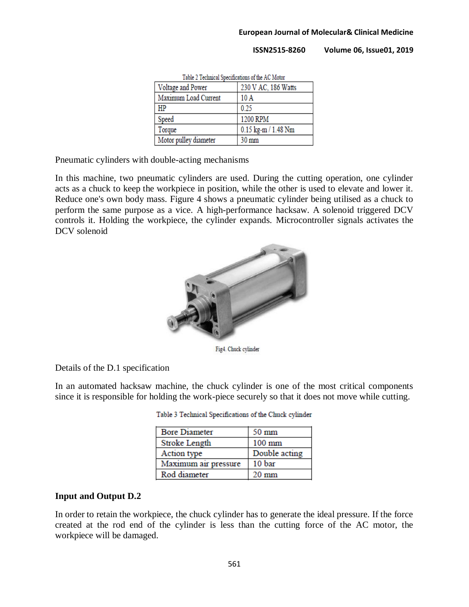**ISSN2515-8260 Volume 06, Issue01, 2019**

| Table 2 Technical Specifications of the MC MOIOI |                     |  |  |
|--------------------------------------------------|---------------------|--|--|
| Voltage and Power                                | 230 V AC, 186 Watts |  |  |
| Maximum Load Current                             | 10A                 |  |  |
| HP                                               | 0.25                |  |  |
| Speed                                            | 1200 RPM            |  |  |
| Torque                                           | 0.15 kg-m / 1.48 Nm |  |  |
| Motor pulley diameter                            | 30 mm               |  |  |

Table 3 Technical Constitutions of the AC Material

Pneumatic cylinders with double-acting mechanisms

In this machine, two pneumatic cylinders are used. During the cutting operation, one cylinder acts as a chuck to keep the workpiece in position, while the other is used to elevate and lower it. Reduce one's own body mass. Figure 4 shows a pneumatic cylinder being utilised as a chuck to perform the same purpose as a vice. A high-performance hacksaw. A solenoid triggered DCV controls it. Holding the workpiece, the cylinder expands. Microcontroller signals activates the DCV solenoid



Fig4. Chuck cylinder

Details of the D.1 specification

In an automated hacksaw machine, the chuck cylinder is one of the most critical components since it is responsible for holding the work-piece securely so that it does not move while cutting.

| <b>Bore Diameter</b> | 50 mm           |  |
|----------------------|-----------------|--|
| Stroke Length        | $100$ mm        |  |
| Action type          | Double acting   |  |
| Maximum air pressure | 10 bar          |  |
| Rod diameter         | $20 \text{ mm}$ |  |

Table 3 Technical Specifications of the Chuck cylinder

## **Input and Output D.2**

In order to retain the workpiece, the chuck cylinder has to generate the ideal pressure. If the force created at the rod end of the cylinder is less than the cutting force of the AC motor, the workpiece will be damaged.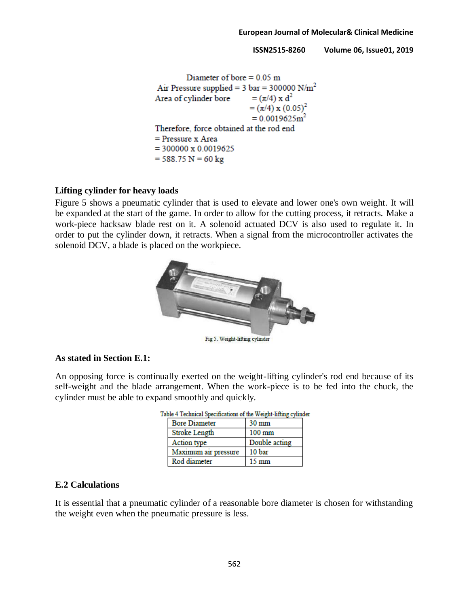```
Diameter of bore = 0.05 m
Air Pressure supplied = 3 \text{ bar} = 300000 \text{ N/m}^2Area of cylinder bore
                               = (\pi/4) \times d^2= (\pi/4) \times (0.05)^2= 0.0019625 m<sup>2</sup>Therefore, force obtained at the rod end
= Pressure x Area
= 300000 \times 0.0019625= 588.75 N = 60 kg
```
### **Lifting cylinder for heavy loads**

Figure 5 shows a pneumatic cylinder that is used to elevate and lower one's own weight. It will be expanded at the start of the game. In order to allow for the cutting process, it retracts. Make a work-piece hacksaw blade rest on it. A solenoid actuated DCV is also used to regulate it. In order to put the cylinder down, it retracts. When a signal from the microcontroller activates the solenoid DCV, a blade is placed on the workpiece.



### **As stated in Section E.1:**

An opposing force is continually exerted on the weight-lifting cylinder's rod end because of its self-weight and the blade arrangement. When the work-piece is to be fed into the chuck, the cylinder must be able to expand smoothly and quickly.

| логе + теслинсат эресписацоны от ше уу егип-пиши суник |                 |  |
|--------------------------------------------------------|-----------------|--|
| <b>Bore Diameter</b>                                   | $30 \text{ mm}$ |  |
| <b>Stroke Length</b>                                   | 100 mm          |  |
| Action type                                            | Double acting   |  |
| Maximum air pressure                                   | 10 bar          |  |
| Rod diameter                                           | $15 \text{ mm}$ |  |

Table 4 Technical Specifications of the Weight-lifting cylinder

### **E.2 Calculations**

It is essential that a pneumatic cylinder of a reasonable bore diameter is chosen for withstanding the weight even when the pneumatic pressure is less.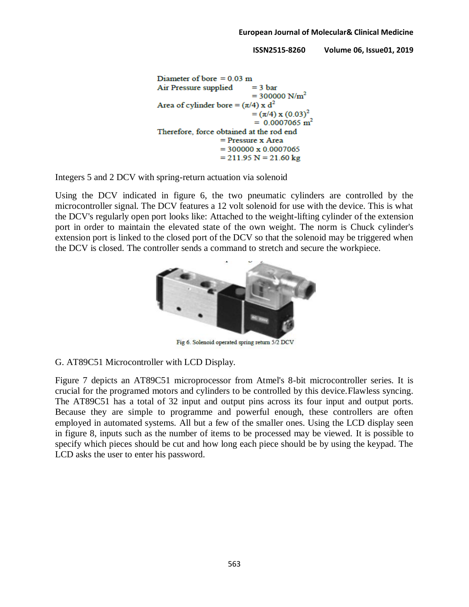```
Diameter of bore = 0.03 m
Air Pressure supplied
                               = 3 \text{ bar}= 300000 \text{ N/m}^2Area of cylinder bore = (\pi/4) x d<sup>2</sup>
                               = (\pi/4) \times (0.03)^2= 0.0007065 m<sup>2</sup>
Therefore, force obtained at the rod end
                     = Pressure x Area
                     = 300000 \times 0.0007065= 211.95 N = 21.60 kg
```
Integers 5 and 2 DCV with spring-return actuation via solenoid

Using the DCV indicated in figure 6, the two pneumatic cylinders are controlled by the microcontroller signal. The DCV features a 12 volt solenoid for use with the device. This is what the DCV's regularly open port looks like: Attached to the weight-lifting cylinder of the extension port in order to maintain the elevated state of the own weight. The norm is Chuck cylinder's extension port is linked to the closed port of the DCV so that the solenoid may be triggered when the DCV is closed. The controller sends a command to stretch and secure the workpiece.



Fig 6. Solenoid operated spring return 5/2 DCV

### G. AT89C51 Microcontroller with LCD Display.

Figure 7 depicts an AT89C51 microprocessor from Atmel's 8-bit microcontroller series. It is crucial for the programed motors and cylinders to be controlled by this device.Flawless syncing. The AT89C51 has a total of 32 input and output pins across its four input and output ports. Because they are simple to programme and powerful enough, these controllers are often employed in automated systems. All but a few of the smaller ones. Using the LCD display seen in figure 8, inputs such as the number of items to be processed may be viewed. It is possible to specify which pieces should be cut and how long each piece should be by using the keypad. The LCD asks the user to enter his password.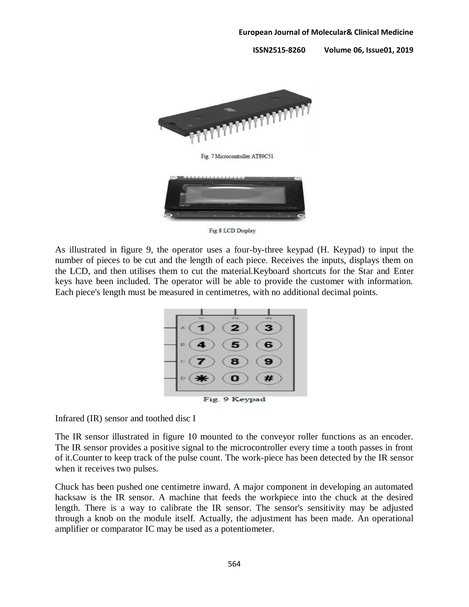

Fig.8 LCD Display

As illustrated in figure 9, the operator uses a four-by-three keypad (H. Keypad) to input the number of pieces to be cut and the length of each piece. Receives the inputs, displays them on the LCD, and then utilises them to cut the material.Keyboard shortcuts for the Star and Enter keys have been included. The operator will be able to provide the customer with information. Each piece's length must be measured in centimetres, with no additional decimal points.



Infrared (IR) sensor and toothed disc I

The IR sensor illustrated in figure 10 mounted to the conveyor roller functions as an encoder. The IR sensor provides a positive signal to the microcontroller every time a tooth passes in front of it.Counter to keep track of the pulse count. The work-piece has been detected by the IR sensor when it receives two pulses.

Chuck has been pushed one centimetre inward. A major component in developing an automated hacksaw is the IR sensor. A machine that feeds the workpiece into the chuck at the desired length. There is a way to calibrate the IR sensor. The sensor's sensitivity may be adjusted through a knob on the module itself. Actually, the adjustment has been made. An operational amplifier or comparator IC may be used as a potentiometer.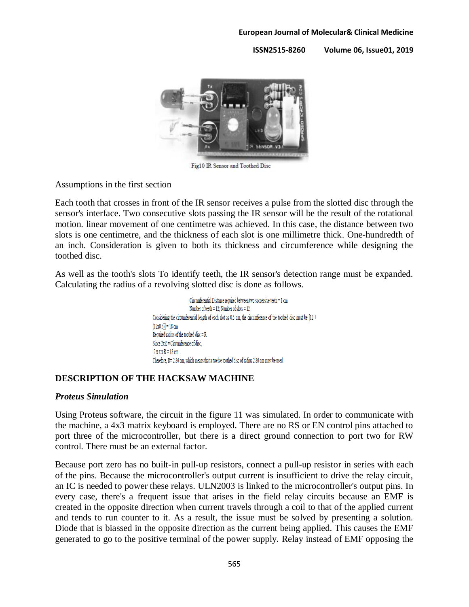**ISSN2515-8260 Volume 06, Issue01, 2019**



Fig10 IR Sensor and Toothed Disc

Assumptions in the first section

Each tooth that crosses in front of the IR sensor receives a pulse from the slotted disc through the sensor's interface. Two consecutive slots passing the IR sensor will be the result of the rotational motion. linear movement of one centimetre was achieved. In this case, the distance between two slots is one centimetre, and the thickness of each slot is one millimetre thick. One-hundredth of an inch. Consideration is given to both its thickness and circumference while designing the toothed disc.

As well as the tooth's slots To identify teeth, the IR sensor's detection range must be expanded. Calculating the radius of a revolving slotted disc is done as follows.

> Circumferential Distance required between two successive teeth = 1 cm Number of teeth =  $12$ ; Number of slots =  $12$ Considering the circumferential length of each slot as 0.5 cm, the circumference of the toothed disc must be [12 +  $(12x0.5)$ ] = 18 cm Required radius of the toothed disc  $=$  R Since  $2\pi R$  = Circumference of disc.  $2x \pi x R = 18$  cm Therefore, R= 2.86 cm, which means that a twelve toothed disc of radius 2.86 cm must be used.

## **DESCRIPTION OF THE HACKSAW MACHINE**

### *Proteus Simulation*

Using Proteus software, the circuit in the figure 11 was simulated. In order to communicate with the machine, a 4x3 matrix keyboard is employed. There are no RS or EN control pins attached to port three of the microcontroller, but there is a direct ground connection to port two for RW control. There must be an external factor.

Because port zero has no built-in pull-up resistors, connect a pull-up resistor in series with each of the pins. Because the microcontroller's output current is insufficient to drive the relay circuit, an IC is needed to power these relays. ULN2003 is linked to the microcontroller's output pins. In every case, there's a frequent issue that arises in the field relay circuits because an EMF is created in the opposite direction when current travels through a coil to that of the applied current and tends to run counter to it. As a result, the issue must be solved by presenting a solution. Diode that is biassed in the opposite direction as the current being applied. This causes the EMF generated to go to the positive terminal of the power supply. Relay instead of EMF opposing the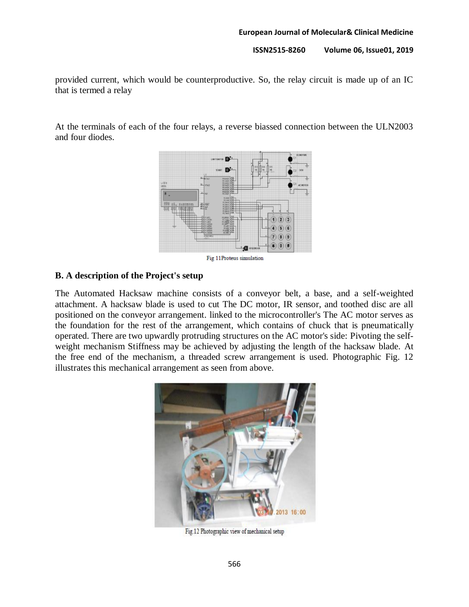provided current, which would be counterproductive. So, the relay circuit is made up of an IC that is termed a relay

At the terminals of each of the four relays, a reverse biassed connection between the ULN2003 and four diodes.



## **B. A description of the Project's setup**

The Automated Hacksaw machine consists of a conveyor belt, a base, and a self-weighted attachment. A hacksaw blade is used to cut The DC motor, IR sensor, and toothed disc are all positioned on the conveyor arrangement. linked to the microcontroller's The AC motor serves as the foundation for the rest of the arrangement, which contains of chuck that is pneumatically operated. There are two upwardly protruding structures on the AC motor's side: Pivoting the selfweight mechanism Stiffness may be achieved by adjusting the length of the hacksaw blade. At the free end of the mechanism, a threaded screw arrangement is used. Photographic Fig. 12 illustrates this mechanical arrangement as seen from above.



Fig.12 Photographic view of mechanical setup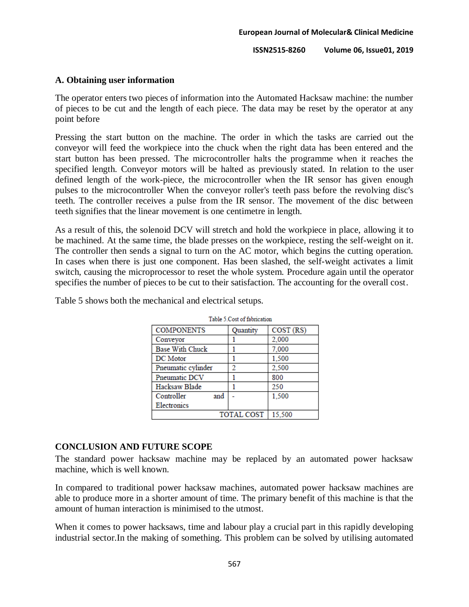## **A. Obtaining user information**

The operator enters two pieces of information into the Automated Hacksaw machine: the number of pieces to be cut and the length of each piece. The data may be reset by the operator at any point before

Pressing the start button on the machine. The order in which the tasks are carried out the conveyor will feed the workpiece into the chuck when the right data has been entered and the start button has been pressed. The microcontroller halts the programme when it reaches the specified length. Conveyor motors will be halted as previously stated. In relation to the user defined length of the work-piece, the microcontroller when the IR sensor has given enough pulses to the microcontroller When the conveyor roller's teeth pass before the revolving disc's teeth. The controller receives a pulse from the IR sensor. The movement of the disc between teeth signifies that the linear movement is one centimetre in length.

As a result of this, the solenoid DCV will stretch and hold the workpiece in place, allowing it to be machined. At the same time, the blade presses on the workpiece, resting the self-weight on it. The controller then sends a signal to turn on the AC motor, which begins the cutting operation. In cases when there is just one component. Has been slashed, the self-weight activates a limit switch, causing the microprocessor to reset the whole system. Procedure again until the operator specifies the number of pieces to be cut to their satisfaction. The accounting for the overall cost.

| Table 5 Cost of fabrication |          |           |  |  |
|-----------------------------|----------|-----------|--|--|
| <b>COMPONENTS</b>           | Quantity | COST (RS) |  |  |
| Conveyor                    |          | 2,000     |  |  |
| <b>Base With Chuck</b>      |          | 7,000     |  |  |
| DC Motor                    |          | 1,500     |  |  |
| Pneumatic cylinder          | າ        | 2,500     |  |  |
| Pneumatic DCV               |          | 800       |  |  |
| Hacksaw Blade               |          | 250       |  |  |
| Controller<br>and           |          | 1.500     |  |  |
| Electronics                 |          |           |  |  |
| <b>TOTAL COST</b><br>15,500 |          |           |  |  |

Table 5 shows both the mechanical and electrical setups.

## **CONCLUSION AND FUTURE SCOPE**

The standard power hacksaw machine may be replaced by an automated power hacksaw machine, which is well known.

In compared to traditional power hacksaw machines, automated power hacksaw machines are able to produce more in a shorter amount of time. The primary benefit of this machine is that the amount of human interaction is minimised to the utmost.

When it comes to power hacksaws, time and labour play a crucial part in this rapidly developing industrial sector.In the making of something. This problem can be solved by utilising automated